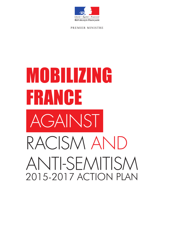

PREMIER MINISTRE

# MOBILIZING FRANCE **AGAINST** RACISM AND ANTI-SEMITISM 2015-2017 ACTION PLAN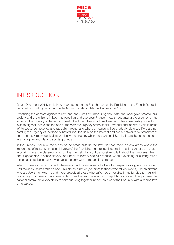

## INTRODUCTION

On 31 December 2014, in his New Year speech to the French people, the President of the French Republic declared combating racism and anti-Semitism a Major National Cause for 2015.

Prioritizing the combat against racism and anti-Semitism, mobilizing the State, the local governments, civil society and the citizens in both metropolitan and overseas France, means recognizing the urgency of the situation: the urgency of the new outbreak of anti-Semitism which we believed to have been extinguished and is at its highest level since the end of the war; the urgency of the social, territorial and identity divide in areas left to tackle delinquency and radicalism alone, and where all values will be gradually distorted if we are not careful; the urgency of the flood of hatred spouted daily on the Internet and social networks by preachers of hate and back-room ideologies; and lastly, the urgency when racist and anti-Semitic insults become the norm in school playgrounds and sports grounds.

In the French Republic, there can be no areas outside the law. Nor can there be any areas where the importance of respect, an essential value of the Republic, is not recognized: racist insults cannot be tolerated in public spaces, in classrooms, or on the Internet. It should be possible to talk about the Holocaust, teach about genocides, discuss slavery, look back at history and all histories, without avoiding or skirting round these subjects, because knowledge is the only way to reduce intolerance.

When it comes to racism, no act is harmless. Each one weakens the Republic, especially if it goes unpunished. And racist abuse has taken place. This abuse is not only a threat to those who fall victim to it, French citizens who are Jewish or Muslim, and more broadly all those who suffer racism or discrimination due to their skin colour, origin or beliefs: this abuse undermines the pact on which our Republic is founded. It jeopardizes the national community's very ability to continue living together, under the laws of the Republic, with a shared love of its values.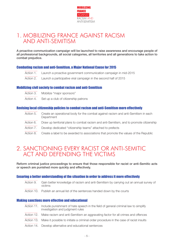

## 1. MOBILIZING FRANCE AGAINST RACISM AND ANTI-SEMITISM

A proactive communication campaign will be launched to raise awareness and encourage people of all professional backgrounds, all social categories, all territories and all generations to take action to combat prejudice.

## Combating racism and anti-Semitism, a Major National Cause for 2015

- Action 1. Launch a proactive government communication campaign in mid-2015
- Action 2. Launch a participative viral campaign in the second half of 2015

## Mobilizing civil society to combatracism and anti-Semitism

- Action 3. Mobilize "major sponsors"
- Action 4. Set up a club of citizenship patrons

## Revising local citizenship policies to combatracism and anti-Semitism more effectively

- Action 5. Create an operational body for the combat against racism and anti-Semitism in each **Department**
- Action 6. Draw up territorial plans to combat racism and anti-Semitism, and to promote citizenship
- Action 7. Develop dedicated "citizenship teams" attached to prefects
- Action 8. Create a label to be awarded to associations that promote the values of the Republic

## 2. SANCTIONING EVERY RACIST OR ANTI-SEMITIC ACT AND DEFENDING THE VICTIMS

Reform criminal justice proceedings to ensure that those responsible for racist or anti-Semitic acts or speech are punished more quickly and effectively.

## Ensuring a better understanding of the situation in order to address it more effectively

- Action 9. Gain better knowledge of racism and anti-Semitism by carrying out an annual survey of victims
- Action 10. Publish an annual list of the sentences handed down by the courts

#### Making sanctions more effective and educational

- Action 11. Include punishment of hate speech in the field of general criminal law to simplify investigation and judgment rules
- Action 12. Make racism and anti-Semitism an aggravating factor for all crimes and offences
- Action 13. Make it possible to initiate a criminal order procedure in the case of racist insults
- Action 14. Develop alternative and educational sentences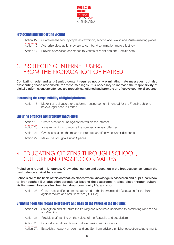

## Protecting and supporting victims

- Action 15. Guarantee the security of places of worship, schools and Jewish and Muslim meeting places
- Action 16. Authorize class actions by law to combat discrimination more effectively
- Action 17. Provide specialized assistance to victims of racist and anti-Semitic acts

## 3. PROTECTING INTERNET USERS FROM THE PROPAGATION OF HATRED

Combating racist and anti-Semitic content requires not only eliminating hate messages, but also prosecuting those responsible for these messages. It is necessary to increase the responsibility of digital platforms, ensure offences are properly sanctioned and promote an effective counter-discourse.

#### Increasing the responsibility of digital platforms

Action 18. Make it an obligation for platforms hosting content intended for the French public to have a legal base in France

## Ensuring offences are properly sanctioned

- Action 19. Create a national unit against hatred on the Internet
- Action 20. Issue e-warnings to reduce the number of repeat offences
- Action 21. Give associations the means to promote an effective counter-discourse
- Action 22. Make use of Digital Public Spaces

## 4. EDUCATING CITIZENS THROUGH SCHOOL, CULTURE AND PASSING ON VALUES

Prejudice is rooted in ignorance. Knowledge, culture and education in the broadest sense remain the best defence against hate speech.

Schools are at the heart of this combat, as places where knowledge is passed on and pupils learn how to live together. But education spreads far beyond the classroom: it takes place through culture, visiting remembrance sites, learning about community life, and sport.

Action 23. Create a scientific committee attached to the Interministerial Delegation for the fight against racism and anti-Semitism (DILCRA)

#### Giving schools the means to preserve and pass on the values of the Republic

- Action 24. Strengthen and structure the training and resources dedicated to combating racism and anti-Semitism
- Action 25. Provide staff training on the values of the Republic and secularism
- Action 26. Support educational teams that are dealing with incidents
- Action 27. Establish a network of racism and anti-Semitism advisers in higher education establishments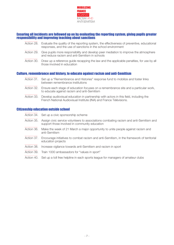

## Ensuring all incidents are followed up on by evaluating the reporting system, giving pupils greater responsibility and improving teaching about sanctions

- Action 28. Evaluate the quality of the reporting system, the effectiveness of preventive, educational responses, and the use of sanctions in the school environment
- Action 29. Give pupils more responsibility and develop peer mediation to improve the atmosphere and reduce racism and anti-Semitism in schools
- Action 30. Draw up a reference guide recapping the law and the applicable penalties, for use by all those involved in education

## **Culture, remembrance and history, to educate against racism and anti-Semitism**

- Action 31. Set up a "Remembrance and Histories" response fund to mobilize and foster links between remembrance institutions
- Action 32. Ensure each stage of education focuses on a remembrance site and a particular work, to educate against racism and anti-Semitism
- Action 33. Develop audiovisual education in partnership with actors in this field, including the French National Audiovisual Institute (INA) and France Télévisions.

#### Citizenship education outside school

- Action 34. Set up a civic sponsorship scheme
- Action 35. Assign civic service volunteers to associations combating racism and anti-Semitism and support those involved in community education
- Action 36. Make the week of 21 March a major opportunity to unite people against racism and anti-Semitism
- Action 37. Encourage initiatives to combat racism and anti-Semitism, in the framework of territorial education projects
- Action 38. Increase vigilance towards anti-Semitism and racism in sport
- Action 39. Train 1000 ambassadors for "values in sport"
- Action 40. Set up a toll free helpline in each sports league for managers of amateur clubs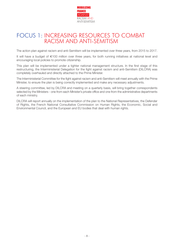

## FOCUS 1: INCREASING RESOURCES TO COMBAT RACISM AND ANTI-SEMITISM

The action plan against racism and anti-Semitism will be implemented over three years, from 2015 to 2017.

It will have a budget of €100 million over three years, for both running initiatives at national level and encouraging local policies to promote citizenship.

This plan will be implemented under a tighter national management structure. In the first stage of this restructuring, the Interministerial Delegation for the fight against racism and anti-Semitism (DILCRA) was completely overhauled and directly attached to the Prime Minister.

The Interministerial Committee for the fight against racism and anti-Semitism will meet annually with the Prime Minister, to ensure the plan is being correctly implemented and make any necessary adjustments.

A steering committee, led by DILCRA and meeting on a quarterly basis, will bring together correspondents selected by the Ministers - one from each Minister's private office and one from the administrative departments of each ministry.

DILCRA will report annually on the implementation of the plan to the National Representatives, the Defender of Rights, the French National Consultative Commission on Human Rights, the Economic, Social and Environmental Council, and the European and EU bodies that deal with human rights.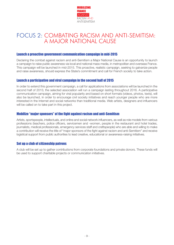

## FOCUS 2: COMBATING RACISM AND ANTI-SEMITISM: A MAJOR NATIONAL CAUSE

#### Launch a proactive government communication campaign in mid-2015

Declaring the combat against racism and anti-Semitism a Major National Cause is an opportunity to launch a campaign to raise public awareness via local and national mass media, in metropolitan and overseas France. This campaign will be launched in mid-2015. This proactive, realistic campaign, seeking to galvanize people and raise awareness, should express the State's commitment and call for French society to take action.

#### Launch a participative and viral campaign in the second half of 2015

In order to extend this government campaign, a call for applications from associations will be launched in the second half of 2015; the selected association will run a campaign lasting throughout 2016. A participative communication campaign, aiming for viral popularity and based on short formats (videos, photos, texts), will also be launched, in order to encourage civil society initiatives and reach younger people who are more interested in the Internet and social networks than traditional media. Web artists, designers and influencers will be called on to take part in this project.

#### Mobilize "major sponsors" of the fight againstracism and anti-Semitism

Artists, sportspeople, intellectuals, and online and social network influencers, as well as role models from various professions (teachers, police officers, servicemen and -women, people in the restaurant and hotel trades, journalists, medical professionals, emergency services staff and craftspeople) who are able and willing to make a contribution will receive the title of "major sponsors of the fight against racism and anti-Semitism" and receive logistical support from public authorities to lead creative, educational or awareness-raising initiatives.

## Set up a club of citizenship patrons

A club will be set up to gather contributions from corporate foundations and private donors. These funds will be used to support charitable projects or communication initiatives.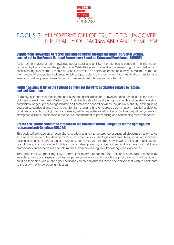

## FOCUS 3: AN "OPERATION OF TRUTH" TO UNCOVER THE REALITY OF RACISM AND ANTI-SEMITISM

# Supplement knowledge of racism and anti-Semitism through an annual survey of victims,<br>carried out by the French National Supervisory Board on Crime and Punishment (ONDRP)

As for crime in general, our knowledge about racist and anti-Semitic offences is based on the information recorded by the police and the gendarmerie. While this system is an effective measuring tool and helps us to assess changes over time, it would be useful to develop an approach based on surveys of victims, to reduce the number of unreported incidents, which are particularly common when it comes to discrimination and insults, as well as police refusal to record complaints, which is even more harmful.

## Publish an annual list of the sentences given forthe various charges related to racism and anti-Semitism

Currently, incidents recorded by the police and the gendarmerie are known and cross-checked, in the case of both anti-Semitic and anti-Muslim acts. A similar list should be drawn up and widely circulated, detailing complaints lodged, proceedings initiated and sentences handed down by the judicial authority, distinguishing between categories of acts (racism, anti-Semitism, racial, ethnic or religious discrimination, negation or defence of crimes against humanity). This transparency will increase the visibility of action within the justice system and strengthen citizens' confidence in the courts' commitment to prosecuting and sanctioning these offenders.

## Create a scientific committee attached to the Interministerial Delegation forthe fight against racism and anti-Semitism (DILCRA)

This body will be made up of researchers, academics and intellectuals representing all disciplines that enhance existing knowledge of the development of racist behaviours, ideologies and prejudices, including sociology, political sciences, history of ideas, psychiatry, neurology and anthropology. It will also include public action practitioners, such as elected officials, magistrates, prefects, police officers and teachers, so that these practitioners and experts may benefit mutually from comparing their knowledge and experience.

The committee will meet regularly to formulate recommendations and opinions, encourage research by awarding grants and research prizes, organize conferences and coordinate publications. It will be able to build partnerships with public higher education establishments in France and abroad that wish to contribute to the growth of knowledge in this area.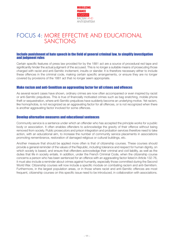

## FOCUS 4: MORE EFFECTIVE AND EDUCATIONAL SANCTIONS

#### Include punishment of hate speech in the field of general criminal law, to simplify investigation and judgment rules

Certain specific features of press law provided for by the 1881 act are a source of procedural red tape and significantly hinder the actual judgment of the accused. This is no longer a suitable means of prosecuting those charged with racist and anti-Semitic incitement, insults or slander. It is therefore necessary either to include these offences in the criminal code, making certain specific arrangements, or ensure they are no longer covered by provisions of the 1881 act that no longer seem appropriate.

## Make racism and anti-Semitism an aggravating factor for all crimes and offences

As several recent cases have shown, ordinary crimes are now often accompanied or even inspired by racist or anti-Semitic prejudices. This is true of financially motivated crimes such as bag snatching, mobile phone theft or sequestration, where anti-Semitic prejudices have suddenly become an underlying motive. Yet racism, like homophobia, is not recognized as an aggravating factor for all offences, or is not recognized when there is another aggravating factor involved for some offences.

#### Develop alternative measures and educational sentences

Community service is a sentence under which an offender who has accepted the principle works for a public body or association. It often enables offenders to acknowledge the gravity of their offence without being removed from society. Public prosecutors and prison integration and probation services therefore need to take action, with an educational aim, to increase the number of community service placements in associations promoting remembrance, restoration of damaged religious or cultural buildings, etc.

Another measure that should be applied more often is that of citizenship courses. These courses should provide a general reminder of the values of the Republic, including tolerance and respect for human dignity, on which society is based, and ensure that offenders acknowledge their criminal and civil liability, as well as the duties that life in society entails. In addition, under the French Criminal Code, when the citizenship course concerns a person who has been sentenced for an offence with an aggravating factor listed in Article 132-76, it must also include a reminder about crimes against humanity, especially those committed during the Second World War. Citizenship courses will now include a specific module on combating racism and anti-Semitism. Furthermore, in the largest population areas, or in those where racist and anti-Semitic offences are most frequent, citizenship courses on this specific issue need to be introduced, in collaboration with associations.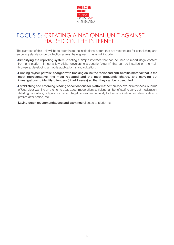

## FOCUS 5: CREATING A NATIONAL UNIT AGAINST HATRED ON THE INTERNET

The purpose of this unit will be to coordinate the institutional actors that are responsible for establishing and enforcing standards on protection against hate speech. Tasks will include:

- **◗** Simplifying the reporting system: creating a simple interface that can be used to report illegal content from any platform in just a few clicks; developing a generic "plug-in" that can be installed on the main browsers; developing a mobile application; standardization.
- **◗** Running "cyber-patrols" charged with tracking online the racist and anti-Semitic material that is the most representative, the most repeated and the most frequently shared, and carrying out investigations to identify offenders (IP addresses) so that they can be prosecuted.
- **◗** Establishing and enforcing binding specifications for platforms: compulsory explicit references in Terms of Use; clear warning on the home page about moderation; sufficient number of staff to carry out moderation; delisting procedure; obligation to report illegal content immediately to the coordination unit; deactivation of profiles after notice, etc.
- **I Laying down recommendations and warnings** directed at platforms.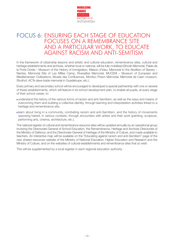

## FOCUS 6: ENSURING EACH STAGE OF EDUCATION FOCUSES ON A REMEMBRANCE SITE AND A PARTICULAR WORK, TO EDUCATE AGAINST RACISM AND ANTI-SEMITISM

In the framework of citizenship lessons and artistic and cultural education, remembrance sites, cultural and heritage establishments and archives, whether local or national, will be fully mobilized (Shoah Memorial, Palais de la Porte Dorée – Museum of the History of Immigration, Maison d'Izieu, Memorial to the Abolition of Slavery – Nantes, Memorial Site of Les Milles Camp, Rivesaltes Memorial, MUCEM – Museum of European and Mediterranean Civilizations, Musée des Confluences, Montluc Prison Memorial, Mémorial de Caen museum, Struthof, ACTe slave trade memorial in Guadeloupe, etc.).

Every primary and secondary school will be encouraged to developed a special partnership with one or several of these establishments, which will feature in its school development plan, to enable all pupils, at every stage of their school career, to:

- **◗** understand the history of the various forms of racism and anti-Semitism, as well as the ways and means of overcoming them and building a collective identity, through learning and interpretation activities linked to a heritage and remembrance site;
- **◗** learn about living in a community, combating racism and anti-Semitism, and the history of movements opposing hatred, in various contexts, through encounters with artists and their work (painting, sculpture, performing arts, cinema, architecture, etc.).

The national register of cultural and remembrance resource sites will be updated annually by an operational group involving the Directorate-General of School Education, the Remembrance, Heritage and Archives Directorate of the Ministry of Defence, and the Directorate-General of Heritage of the Ministry of Culture, and made available to teachers. An interactive map will be available on the "Educating against racism and anti-Semitism" page of the new shared resources website of the Ministry of National Education, Higher Education and Research and the Ministry of Culture, and on the websites of cultural establishments and remembrance sites that so wish.

This will be supplemented by a local register in each regional education authority.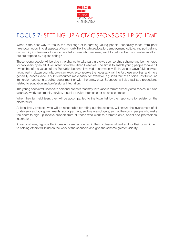

# FOCUS 7: SETTING UP A CIVIC SPONSORSHIP SCHEME

What is the best way to tackle the challenge of integrating young people, especially those from poor neighbourhoods, into all aspects of community life, including education, employment, culture, and political and community involvement? How can we help those who are keen, want to get involved, and make an effort, but are trapped by a glass ceiling?

These young people will be given the chance to take part in a civic sponsorship scheme and be mentored for two years by an adult volunteer from the Citizen Reserves. The aim is to enable young people to take full ownership of the values of the Republic, become involved in community life in various ways (civic service, taking part in citizen councils, voluntary work, etc.), receive the necessary training for these activities, and more generally, access various public resources more easily (for example, a guided tour of an official institution, an immersion course in a police department or with the army, etc.). Sponsors will also facilitate procedures related to education and professional integration.

The young people will undertake personal projects that may take various forms: primarily civic service, but also voluntary work, community service, a public service internship, or an artistic project.

When they turn eighteen, they will be accompanied to the town hall by their sponsors to register on the electoral roll.

At local level, prefects, who will be responsible for rolling out the scheme, will ensure the involvement of all State services, local governments, social partners, and main employers, so that the young people who make the effort to sign up receive support from all those who work to promote civic, social and professional integration.

At national level, high-profile figures who are recognized in their professional field and for their commitment to helping others will build on the work of the sponsors and give the scheme greater visibility.